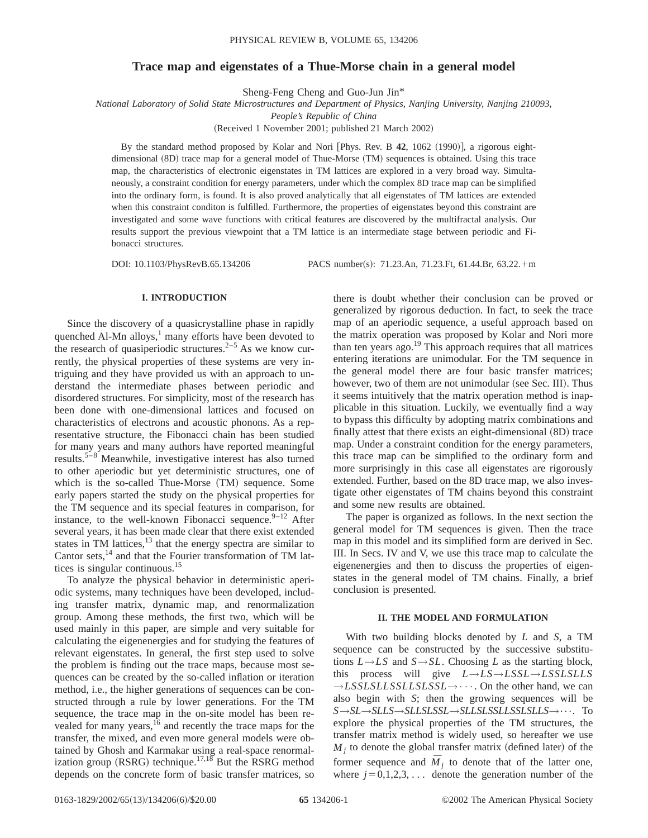## **Trace map and eigenstates of a Thue-Morse chain in a general model**

Sheng-Feng Cheng and Guo-Jun Jin\*

*National Laboratory of Solid State Microstructures and Department of Physics, Nanjing University, Nanjing 210093,*

*People's Republic of China*

(Received 1 November 2001; published 21 March 2002)

By the standard method proposed by Kolar and Nori [Phys. Rev. B 42, 1062 (1990)], a rigorous eightdimensional (8D) trace map for a general model of Thue-Morse (TM) sequences is obtained. Using this trace map, the characteristics of electronic eigenstates in TM lattices are explored in a very broad way. Simultaneously, a constraint condition for energy parameters, under which the complex 8D trace map can be simplified into the ordinary form, is found. It is also proved analytically that all eigenstates of TM lattices are extended when this constraint conditon is fulfilled. Furthermore, the properties of eigenstates beyond this constraint are investigated and some wave functions with critical features are discovered by the multifractal analysis. Our results support the previous viewpoint that a TM lattice is an intermediate stage between periodic and Fibonacci structures.

DOI: 10.1103/PhysRevB.65.134206 PACS number(s): 71.23.An, 71.23.Ft, 61.44.Br, 63.22.+m

## **I. INTRODUCTION**

Since the discovery of a quasicrystalline phase in rapidly quenched Al-Mn alloys, $\frac{1}{2}$  many efforts have been devoted to the research of quasiperiodic structures.<sup>2–5</sup> As we know currently, the physical properties of these systems are very intriguing and they have provided us with an approach to understand the intermediate phases between periodic and disordered structures. For simplicity, most of the research has been done with one-dimensional lattices and focused on characteristics of electrons and acoustic phonons. As a representative structure, the Fibonacci chain has been studied for many years and many authors have reported meaningful results.5–8 Meanwhile, investigative interest has also turned to other aperiodic but yet deterministic structures, one of which is the so-called Thue-Morse (TM) sequence. Some early papers started the study on the physical properties for the TM sequence and its special features in comparison, for instance, to the well-known Fibonacci sequence. $9-12$  After several years, it has been made clear that there exist extended states in TM lattices, $^{13}$  that the energy spectra are similar to Cantor sets, $^{14}$  and that the Fourier transformation of TM lattices is singular continuous. $15$ 

To analyze the physical behavior in deterministic aperiodic systems, many techniques have been developed, including transfer matrix, dynamic map, and renormalization group. Among these methods, the first two, which will be used mainly in this paper, are simple and very suitable for calculating the eigenenergies and for studying the features of relevant eigenstates. In general, the first step used to solve the problem is finding out the trace maps, because most sequences can be created by the so-called inflation or iteration method, i.e., the higher generations of sequences can be constructed through a rule by lower generations. For the TM sequence, the trace map in the on-site model has been revealed for many years,<sup>16</sup> and recently the trace maps for the transfer, the mixed, and even more general models were obtained by Ghosh and Karmakar using a real-space renormalization group (RSRG) technique.<sup>17,18</sup> But the RSRG method depends on the concrete form of basic transfer matrices, so

there is doubt whether their conclusion can be proved or generalized by rigorous deduction. In fact, to seek the trace map of an aperiodic sequence, a useful approach based on the matrix operation was proposed by Kolar and Nori more than ten years ago.<sup>19</sup> This approach requires that all matrices entering iterations are unimodular. For the TM sequence in the general model there are four basic transfer matrices; however, two of them are not unimodular (see Sec. III). Thus it seems intuitively that the matrix operation method is inapplicable in this situation. Luckily, we eventually find a way to bypass this difficulty by adopting matrix combinations and finally attest that there exists an eight-dimensional  $(8D)$  trace map. Under a constraint condition for the energy parameters, this trace map can be simplified to the ordinary form and more surprisingly in this case all eigenstates are rigorously extended. Further, based on the 8D trace map, we also investigate other eigenstates of TM chains beyond this constraint and some new results are obtained.

The paper is organized as follows. In the next section the general model for TM sequences is given. Then the trace map in this model and its simplified form are derived in Sec. III. In Secs. IV and V, we use this trace map to calculate the eigenenergies and then to discuss the properties of eigenstates in the general model of TM chains. Finally, a brief conclusion is presented.

### **II. THE MODEL AND FORMULATION**

With two building blocks denoted by *L* and *S*, a TM sequence can be constructed by the successive substitutions  $L \rightarrow LS$  and  $S \rightarrow SL$ . Choosing *L* as the starting block, this process will give *L*→*LS*→*LSSL*→*LSSLSLLS*  $\rightarrow$ *LSSLSLLSSLLSSLSSL* $\rightarrow$   $\cdots$ . On the other hand, we can also begin with *S*; then the growing sequences will be *S*→*SL*→*SLLS*→*SLLSLSSL*→*SLLSLSSLLSSLSLLS*→•••. To explore the physical properties of the TM structures, the transfer matrix method is widely used, so hereafter we use  $M_i$  to denote the global transfer matrix (defined later) of the former sequence and  $\overline{M}_i$  to denote that of the latter one, where  $j=0,1,2,3,...$  denote the generation number of the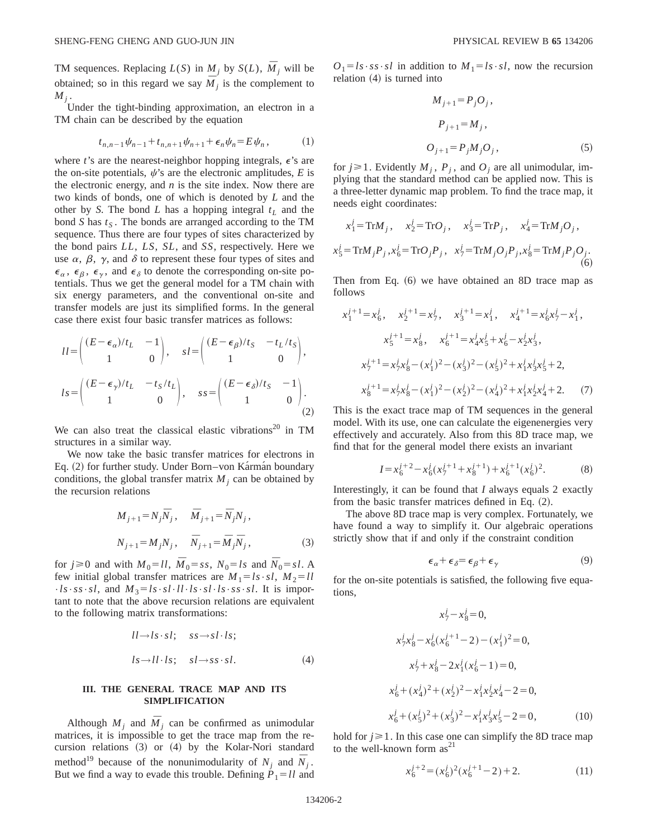TM sequences. Replacing  $L(S)$  in  $M_j$  by  $S(L)$ ,  $\overline{M}_j$  will be obtained; so in this regard we say  $\overline{M}$  *j* is the complement to  $M_j$  .

Under the tight-binding approximation, an electron in a TM chain can be described by the equation

$$
t_{n,n-1}\psi_{n-1} + t_{n,n+1}\psi_{n+1} + \epsilon_n \psi_n = E\psi_n, \qquad (1)
$$

where *t*'s are the nearest-neighbor hopping integrals,  $\epsilon$ 's are the on-site potentials,  $\psi$ 's are the electronic amplitudes, *E* is the electronic energy, and *n* is the site index. Now there are two kinds of bonds, one of which is denoted by *L* and the other by *S*. The bond *L* has a hopping integral  $t_L$  and the bond *S* has  $t<sub>S</sub>$ . The bonds are arranged according to the TM sequence. Thus there are four types of sites characterized by the bond pairs *LL*, *LS*, *SL*, and *SS*, respectively. Here we use  $\alpha$ ,  $\beta$ ,  $\gamma$ , and  $\delta$  to represent these four types of sites and  $\epsilon_{\alpha}$ ,  $\epsilon_{\beta}$ ,  $\epsilon_{\gamma}$ , and  $\epsilon_{\delta}$  to denote the corresponding on-site potentials. Thus we get the general model for a TM chain with six energy parameters, and the conventional on-site and transfer models are just its simplified forms. In the general case there exist four basic transfer matrices as follows:

$$
ll = \begin{pmatrix} (E - \epsilon_{\alpha})/t_L & -1 \\ 1 & 0 \end{pmatrix}, \quad sl = \begin{pmatrix} (E - \epsilon_{\beta})/t_S & -t_L/t_S \\ 1 & 0 \end{pmatrix},
$$

$$
ls = \begin{pmatrix} (E - \epsilon_{\gamma})/t_L & -t_S/t_L \\ 1 & 0 \end{pmatrix}, \quad ss = \begin{pmatrix} (E - \epsilon_{\delta})/t_S & -1 \\ 1 & 0 \end{pmatrix}.
$$
 (2)

We can also treat the classical elastic vibrations<sup>20</sup> in TM structures in a similar way.

We now take the basic transfer matrices for electrons in Eq. (2) for further study. Under Born–von Ka´rma´n boundary conditions, the global transfer matrix  $M_i$  can be obtained by the recursion relations

$$
M_{j+1} = N_j \overline{N}_j, \quad \overline{M}_{j+1} = \overline{N}_j N_j, N_{j+1} = M_j N_j, \quad \overline{N}_{j+1} = \overline{M}_j \overline{N}_j,
$$
 (3)

for  $j \ge 0$  and with  $M_0 = l l$ ,  $\overline{M}_0 = ss$ ,  $N_0 = ls$  and  $\overline{N}_0 = sl$ . A few initial global transfer matrices are  $M_1 = ls \cdot sl$ ,  $M_2 = ll$  $·ls·ss·sl$ , and  $M_3 = ls·sl·ll·ls·sl·ls·ss·sl$ . It is important to note that the above recursion relations are equivalent to the following matrix transformations:

$$
ll \rightarrow ls \cdot sl;
$$
  $ss \rightarrow sl \cdot ls;$   
\n $ls \rightarrow ll \cdot ls;$   $sl \rightarrow ss \cdot sl.$  (4)

## **III. THE GENERAL TRACE MAP AND ITS SIMPLIFICATION**

Although  $M_j$  and  $\overline{M}_j$  can be confirmed as unimodular matrices, it is impossible to get the trace map from the recursion relations  $(3)$  or  $(4)$  by the Kolar-Nori standard method<sup>19</sup> because of the nonunimodularity of  $N_i$  and  $\overline{N}_i$ . But we find a way to evade this trouble. Defining  $\dot{P}_1 = l \dot{l}$  and  $O_1 = ls \cdot ss \cdot sl$  in addition to  $M_1 = ls \cdot sl$ , now the recursion relation  $(4)$  is turned into

$$
M_{j+1} = P_j O_j,
$$
  
\n
$$
P_{j+1} = M_j,
$$
  
\n
$$
O_{j+1} = P_j M_j O_j,
$$
\n(5)

for  $j \ge 1$ . Evidently  $M_j$ ,  $P_j$ , and  $O_j$  are all unimodular, implying that the standard method can be applied now. This is a three-letter dynamic map problem. To find the trace map, it needs eight coordinates:

$$
x_1^j = \text{Tr}M_j, \quad x_2^j = \text{Tr}O_j, \quad x_3^j = \text{Tr}P_j, \quad x_4^j = \text{Tr}M_jO_j,
$$
  

$$
x_5^j = \text{Tr}M_jP_j, x_6^j = \text{Tr}O_jP_j, \quad x_7^j = \text{Tr}M_jO_jP_j, x_8^j = \text{Tr}M_jP_jO_j.
$$
  
(6)

Then from Eq.  $(6)$  we have obtained an 8D trace map as follows

$$
x_1^{j+1} = x_6^j, \quad x_2^{j+1} = x_7^j, \quad x_3^{j+1} = x_1^j, \quad x_4^{j+1} = x_6^j x_7^j - x_1^j,
$$
  
\n
$$
x_5^{j+1} = x_8^j, \quad x_6^{j+1} = x_4^j x_5^j + x_6^j - x_2^j x_3^j,
$$
  
\n
$$
x_7^{j+1} = x_7^j x_8^j - (x_1^j)^2 - (x_3^j)^2 - (x_5^j)^2 + x_1^j x_3^j x_5^j + 2,
$$
  
\n
$$
x_8^{j+1} = x_7^j x_8^j - (x_1^j)^2 - (x_2^j)^2 - (x_4^j)^2 + x_1^j x_2^j x_4^j + 2.
$$
 (7)

This is the exact trace map of TM sequences in the general model. With its use, one can calculate the eigenenergies very effectively and accurately. Also from this 8D trace map, we find that for the general model there exists an invariant

$$
I = x_6^{j+2} - x_6^j (x_7^{j+1} + x_8^{j+1}) + x_6^{j+1} (x_6^j)^2.
$$
 (8)

Interestingly, it can be found that *I* always equals 2 exactly from the basic transfer matrices defined in Eq.  $(2)$ .

The above 8D trace map is very complex. Fortunately, we have found a way to simplify it. Our algebraic operations strictly show that if and only if the constraint condition

$$
\epsilon_{\alpha} + \epsilon_{\delta} = \epsilon_{\beta} + \epsilon_{\gamma} \tag{9}
$$

for the on-site potentials is satisfied, the following five equations,

$$
x_7^j - x_8^j = 0,
$$
  
\n
$$
x_7^j x_8^j - x_6^j (x_6^{j+1} - 2) - (x_1^j)^2 = 0,
$$
  
\n
$$
x_7^j + x_8^j - 2x_1^j (x_6^j - 1) = 0,
$$
  
\n
$$
x_6^j + (x_4^j)^2 + (x_2^j)^2 - x_1^j x_2^j x_4^j - 2 = 0,
$$
  
\n
$$
x_6^j + (x_5^j)^2 + (x_3^j)^2 - x_1^j x_3^j x_5^j - 2 = 0,
$$
 (10)

hold for  $j \ge 1$ . In this case one can simplify the 8D trace map to the well-known form  $as<sup>21</sup>$ 

$$
x_6^{j+2} = (x_6^j)^2 (x_6^{j+1} - 2) + 2. \tag{11}
$$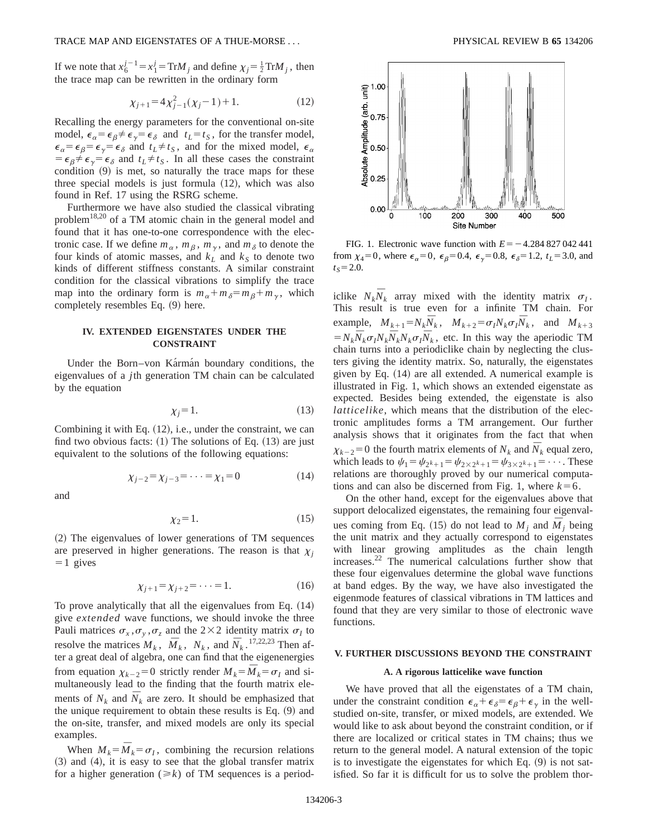If we note that  $x_6^{j-1} = x_1^j = \text{Tr}M_j$  and define  $\chi_j = \frac{1}{2} \text{Tr}M_j$ , then the trace map can be rewritten in the ordinary form

$$
\chi_{j+1} = 4\chi_{j-1}^2(\chi_j - 1) + 1.
$$
 (12)

Recalling the energy parameters for the conventional on-site model,  $\epsilon_{\alpha} = \epsilon_{\beta} \neq \epsilon_{\gamma} = \epsilon_{\delta}$  and  $t_L = t_S$ , for the transfer model,  $\epsilon_{\alpha} = \epsilon_{\beta} = \epsilon_{\gamma} = \epsilon_{\delta}$  and  $t_L \neq t_S$ , and for the mixed model,  $\epsilon_{\alpha}$  $= \epsilon_{\beta} \neq \epsilon_{\gamma} = \epsilon_{\delta}$  and  $t_L \neq t_S$ . In all these cases the constraint condition  $(9)$  is met, so naturally the trace maps for these three special models is just formula  $(12)$ , which was also found in Ref. 17 using the RSRG scheme.

Furthermore we have also studied the classical vibrating problem<sup>18,20</sup> of a TM atomic chain in the general model and found that it has one-to-one correspondence with the electronic case. If we define  $m_\alpha$ ,  $m_\beta$ ,  $m_\gamma$ , and  $m_\delta$  to denote the four kinds of atomic masses, and  $k<sub>L</sub>$  and  $k<sub>S</sub>$  to denote two kinds of different stiffness constants. A similar constraint condition for the classical vibrations to simplify the trace map into the ordinary form is  $m_{\alpha} + m_{\delta} = m_{\beta} + m_{\gamma}$ , which completely resembles Eq.  $(9)$  here.

# **IV. EXTENDED EIGENSTATES UNDER THE CONSTRAINT**

Under the Born–von Karman boundary conditions, the eigenvalues of a *j*th generation TM chain can be calculated by the equation

$$
\chi_j = 1. \tag{13}
$$

Combining it with Eq.  $(12)$ , i.e., under the constraint, we can find two obvious facts:  $(1)$  The solutions of Eq.  $(13)$  are just equivalent to the solutions of the following equations:

$$
\chi_{j-2} = \chi_{j-3} = \dots = \chi_1 = 0 \tag{14}
$$

and

$$
\chi_2 = 1. \tag{15}
$$

~2! The eigenvalues of lower generations of TM sequences are preserved in higher generations. The reason is that  $\chi_i$  $=1$  gives

$$
\chi_{j+1} = \chi_{j+2} = \dots = 1.
$$
 (16)

To prove analytically that all the eigenvalues from Eq.  $(14)$ give *extended* wave functions, we should invoke the three Pauli matrices  $\sigma_x$ ,  $\sigma_y$ ,  $\sigma_z$  and the 2×2 identity matrix  $\sigma_I$  to resolve the matrices  $M_k$ ,  $\overline{M}_k$ ,  $N_k$ , and  $\overline{N}_k$ .<sup>17,22,23</sup> Then after a great deal of algebra, one can find that the eigenenergies from equation  $\chi_{k-2}=0$  strictly render  $M_k = \overline{M}_k = \sigma_l$  and simultaneously lead to the finding that the fourth matrix elements of  $N_k$  and  $\overline{N}_k$  are zero. It should be emphasized that the unique requirement to obtain these results is Eq.  $(9)$  and the on-site, transfer, and mixed models are only its special examples.

When  $M_k = \overline{M}_k = \sigma_l$ , combining the recursion relations  $(3)$  and  $(4)$ , it is easy to see that the global transfer matrix for a higher generation  $(\ge k)$  of TM sequences is a period-



FIG. 1. Electronic wave function with  $E = -4.284827042441$ from  $\chi_4=0$ , where  $\epsilon_\alpha=0$ ,  $\epsilon_\beta=0.4$ ,  $\epsilon_\gamma=0.8$ ,  $\epsilon_\delta=1.2$ ,  $t_L=3.0$ , and  $t_s = 2.0$ .

iclike  $N_k \overline{N}_k$  array mixed with the identity matrix  $\sigma_I$ . This result is true even for a infinite TM chain. For example,  $M_{k+1} = N_k \overline{N}_k$ ,  $M_{k+2} = \sigma_l N_k \sigma_l \overline{N}_k$ , and  $M_{k+3}$  $N_k = N_k \overline{N}_k \sigma_I N_k \overline{N}_k N_k \sigma_I \overline{N}_k$ , etc. In this way the aperiodic TM chain turns into a periodiclike chain by neglecting the clusters giving the identity matrix. So, naturally, the eigenstates given by Eq.  $(14)$  are all extended. A numerical example is illustrated in Fig. 1, which shows an extended eigenstate as expected. Besides being extended, the eigenstate is also *latticelike*, which means that the distribution of the electronic amplitudes forms a TM arrangement. Our further analysis shows that it originates from the fact that when  $\chi_{k-2}$ =0 the fourth matrix elements of  $N_k$  and  $\bar{N}_k$  equal zero, which leads to  $\psi_1 = \psi_{2k+1} = \psi_{2 \times 2^k+1} = \psi_{3 \times 2^k+1} = \cdots$ . These relations are thoroughly proved by our numerical computations and can also be discerned from Fig. 1, where  $k=6$ .

On the other hand, except for the eigenvalues above that support delocalized eigenstates, the remaining four eigenvalues coming from Eq. (15) do not lead to  $M_i$  and  $\overline{M}_i$  being the unit matrix and they actually correspond to eigenstates with linear growing amplitudes as the chain length increases. $22$  The numerical calculations further show that these four eigenvalues determine the global wave functions at band edges. By the way, we have also investigated the eigenmode features of classical vibrations in TM lattices and found that they are very similar to those of electronic wave functions.

### **V. FURTHER DISCUSSIONS BEYOND THE CONSTRAINT**

#### **A. A rigorous latticelike wave function**

We have proved that all the eigenstates of a TM chain, under the constraint condition  $\epsilon_{\alpha} + \epsilon_{\delta} = \epsilon_{\beta} + \epsilon_{\gamma}$  in the wellstudied on-site, transfer, or mixed models, are extended. We would like to ask about beyond the constraint condition, or if there are localized or critical states in TM chains; thus we return to the general model. A natural extension of the topic is to investigate the eigenstates for which Eq.  $(9)$  is not satisfied. So far it is difficult for us to solve the problem thor-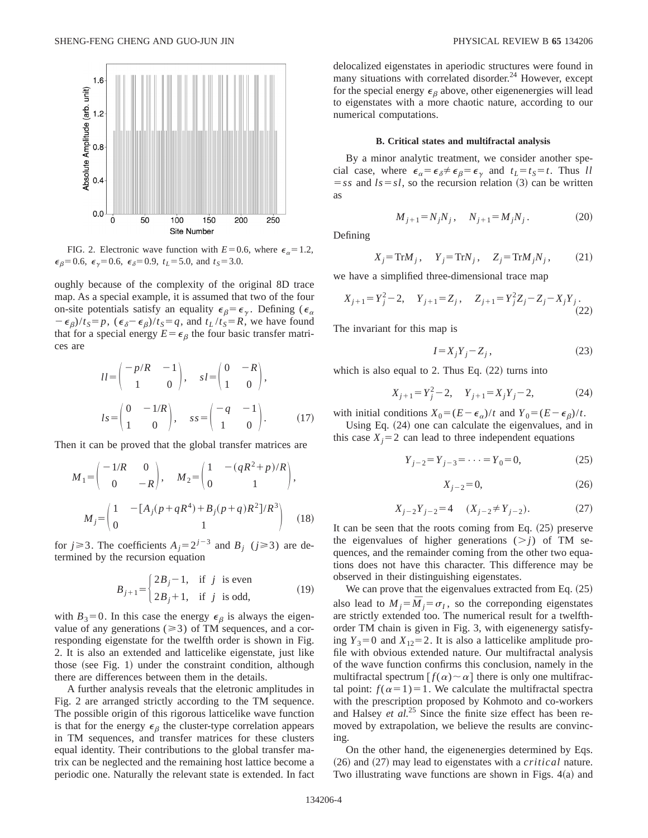

FIG. 2. Electronic wave function with  $E=0.6$ , where  $\epsilon_{\alpha}=1.2$ ,  $\epsilon_{\beta}$ =0.6,  $\epsilon_{\gamma}$ =0.6,  $\epsilon_{\delta}$ =0.9,  $t_L$ =5.0, and  $t_S$ =3.0.

oughly because of the complexity of the original 8D trace map. As a special example, it is assumed that two of the four on-site potentials satisfy an equality  $\epsilon_{\beta} = \epsilon_{\gamma}$ . Defining ( $\epsilon_{\alpha}$ )  $-\epsilon_{\beta}/t_{S} = p$ ,  $(\epsilon_{\delta} - \epsilon_{\beta})/t_{S} = q$ , and  $t_{L}/t_{S} = R$ , we have found that for a special energy  $E = \epsilon_\beta$  the four basic transfer matrices are

$$
ll = \begin{pmatrix} -p/R & -1 \\ 1 & 0 \end{pmatrix}, \quad sl = \begin{pmatrix} 0 & -R \\ 1 & 0 \end{pmatrix},
$$

$$
ls = \begin{pmatrix} 0 & -1/R \\ 1 & 0 \end{pmatrix}, \quad ss = \begin{pmatrix} -q & -1 \\ 1 & 0 \end{pmatrix}.
$$
(17)

Then it can be proved that the global transfer matrices are

$$
M_1 = \begin{pmatrix} -1/R & 0 \\ 0 & -R \end{pmatrix}, \quad M_2 = \begin{pmatrix} 1 & -(qR^2 + p)/R \\ 0 & 1 \end{pmatrix},
$$

$$
M_j = \begin{pmatrix} 1 & -[A_j(p+qR^4) + B_j(p+q)R^2]/R^3 \\ 0 & 1 \end{pmatrix}
$$
(18)

for  $j \ge 3$ . The coefficients  $A_j = 2^{j-3}$  and  $B_j$  ( $j \ge 3$ ) are determined by the recursion equation

$$
B_{j+1} = \begin{cases} 2B_j - 1, & \text{if } j \text{ is even} \\ 2B_j + 1, & \text{if } j \text{ is odd,} \end{cases}
$$
 (19)

with  $B_3=0$ . In this case the energy  $\epsilon_\beta$  is always the eigenvalue of any generations ( $\geq 3$ ) of TM sequences, and a corresponding eigenstate for the twelfth order is shown in Fig. 2. It is also an extended and latticelike eigenstate, just like those (see Fig. 1) under the constraint condition, although there are differences between them in the details.

A further analysis reveals that the eletronic amplitudes in Fig. 2 are arranged strictly according to the TM sequence. The possible origin of this rigorous latticelike wave function is that for the energy  $\epsilon_{\beta}$  the cluster-type correlation appears in TM sequences, and transfer matrices for these clusters equal identity. Their contributions to the global transfer matrix can be neglected and the remaining host lattice become a periodic one. Naturally the relevant state is extended. In fact delocalized eigenstates in aperiodic structures were found in many situations with correlated disorder.<sup>24</sup> However, except for the special energy  $\epsilon_{\beta}$  above, other eigenenergies will lead to eigenstates with a more chaotic nature, according to our numerical computations.

### **B. Critical states and multifractal analysis**

By a minor analytic treatment, we consider another special case, where  $\epsilon_{\alpha} = \epsilon_{\delta} \neq \epsilon_{\beta} = \epsilon_{\gamma}$  and  $t_L = t_S = t$ . Thus *ll*  $=$ *ss* and  $ls = sl$ , so the recursion relation (3) can be written as

$$
M_{j+1} = N_j N_j, \quad N_{j+1} = M_j N_j. \tag{20}
$$

Defining

$$
X_j = \text{Tr}M_j, \quad Y_j = \text{Tr}N_j, \quad Z_j = \text{Tr}M_jN_j, \quad (21)
$$

we have a simplified three-dimensional trace map

$$
X_{j+1} = Y_j^2 - 2
$$
,  $Y_{j+1} = Z_j$ ,  $Z_{j+1} = Y_j^2 Z_j - Z_j - X_j Y_j$ . (22)

The invariant for this map is

$$
I = X_j Y_j - Z_j,\tag{23}
$$

which is also equal to 2. Thus Eq.  $(22)$  turns into

$$
X_{j+1} = Y_j^2 - 2, \quad Y_{j+1} = X_j Y_j - 2,\tag{24}
$$

with initial conditions  $X_0 = (E - \epsilon_\alpha)/t$  and  $Y_0 = (E - \epsilon_\beta)/t$ .

Using Eq.  $(24)$  one can calculate the eigenvalues, and in this case  $X_i = 2$  can lead to three independent equations

$$
Y_{j-2} = Y_{j-3} = \dots = Y_0 = 0,\tag{25}
$$

$$
X_{j-2} = 0,\tag{26}
$$

$$
X_{j-2}Y_{j-2} = 4 \t (X_{j-2} \neq Y_{j-2}). \t (27)
$$

It can be seen that the roots coming from Eq.  $(25)$  preserve the eigenvalues of higher generations  $(>j)$  of TM sequences, and the remainder coming from the other two equations does not have this character. This difference may be observed in their distinguishing eigenstates.

We can prove that the eigenvalues extracted from Eq.  $(25)$ also lead to  $M_i = \overline{M}_i = \sigma_I$ , so the correponding eigenstates are strictly extended too. The numerical result for a twelfthorder TM chain is given in Fig. 3, with eigenenergy satisfying  $Y_3=0$  and  $X_{12}=2$ . It is also a latticelike amplitude profile with obvious extended nature. Our multifractal analysis of the wave function confirms this conclusion, namely in the multifractal spectrum  $[f(\alpha) \sim \alpha]$  there is only one multifractal point:  $f(\alpha=1)=1$ . We calculate the multifractal spectra with the prescription proposed by Kohmoto and co-workers and Halsey *et al.*<sup>25</sup> Since the finite size effect has been removed by extrapolation, we believe the results are convincing.

On the other hand, the eigenenergies determined by Eqs.  $(26)$  and  $(27)$  may lead to eigenstates with a *critical* nature. Two illustrating wave functions are shown in Figs.  $4(a)$  and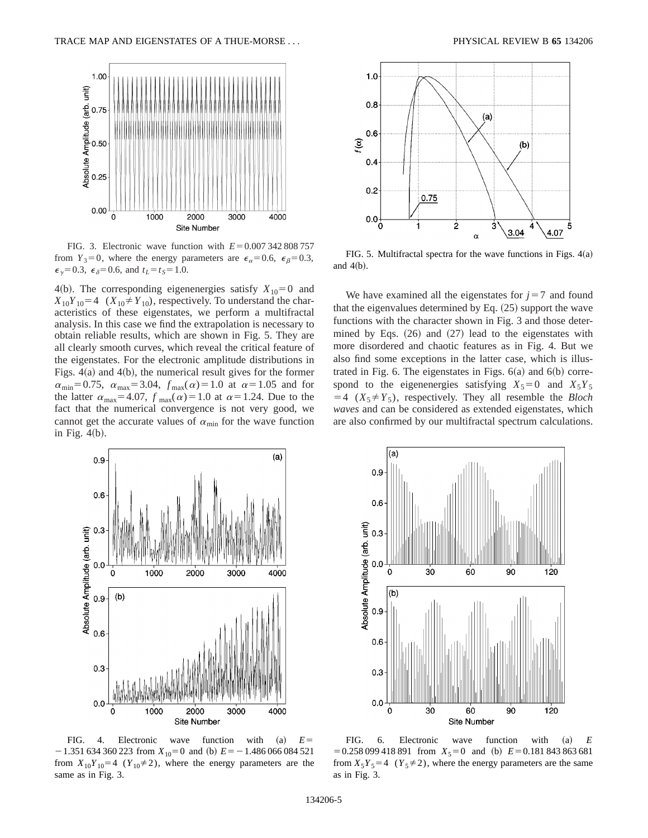

FIG. 3. Electronic wave function with  $E=0.007$  342 808 757 from  $Y_3=0$ , where the energy parameters are  $\epsilon_{\alpha}=0.6$ ,  $\epsilon_{\beta}=0.3$ ,  $\epsilon_{\gamma}$ =0.3,  $\epsilon_{\delta}$ =0.6, and  $t_L$ = $t_S$ =1.0.

4(b). The corresponding eigenenergies satisfy  $X_{10}=0$  and  $X_{10}Y_{10}=4$  ( $X_{10} \neq Y_{10}$ ), respectively. To understand the characteristics of these eigenstates, we perform a multifractal analysis. In this case we find the extrapolation is necessary to obtain reliable results, which are shown in Fig. 5. They are all clearly smooth curves, which reveal the critical feature of the eigenstates. For the electronic amplitude distributions in Figs.  $4(a)$  and  $4(b)$ , the numerical result gives for the former  $\alpha_{\text{min}}=0.75$ ,  $\alpha_{\text{max}}=3.04$ ,  $f_{\text{max}}(\alpha)=1.0$  at  $\alpha=1.05$  and for the latter  $\alpha_{\text{max}}=4.07$ ,  $f_{\text{max}}(\alpha)=1.0$  at  $\alpha=1.24$ . Due to the fact that the numerical convergence is not very good, we cannot get the accurate values of  $\alpha_{\min}$  for the wave function in Fig.  $4(b)$ .



FIG. 5. Multifractal spectra for the wave functions in Figs.  $4(a)$ and  $4(b)$ .

We have examined all the eigenstates for  $j=7$  and found that the eigenvalues determined by Eq.  $(25)$  support the wave functions with the character shown in Fig. 3 and those determined by Eqs.  $(26)$  and  $(27)$  lead to the eigenstates with more disordered and chaotic features as in Fig. 4. But we also find some exceptions in the latter case, which is illustrated in Fig. 6. The eigenstates in Figs.  $6(a)$  and  $6(b)$  correspond to the eigenenergies satisfying  $X_5=0$  and  $X_5Y_5$  $=4$  ( $X_5 \neq Y_5$ ), respectively. They all resemble the *Bloch waves* and can be considered as extended eigenstates, which are also confirmed by our multifractal spectrum calculations.



FIG. 4. Electronic wave function with  $(a)$   $E=$  $-1.351 634 360 223$  from  $X_{10} = 0$  and (b)  $E = -1.486 066 084 521$ from  $X_{10}Y_{10}=4$  ( $Y_{10}\neq 2$ ), where the energy parameters are the same as in Fig. 3.



FIG. 6. Electronic wave function with (a) *E*  $= 0.258 099 418 891$  from  $X_5 = 0$  and (b)  $E = 0.181 843 863 681$ from  $X_5Y_5=4$  ( $Y_5\neq 2$ ), where the energy parameters are the same as in Fig. 3.